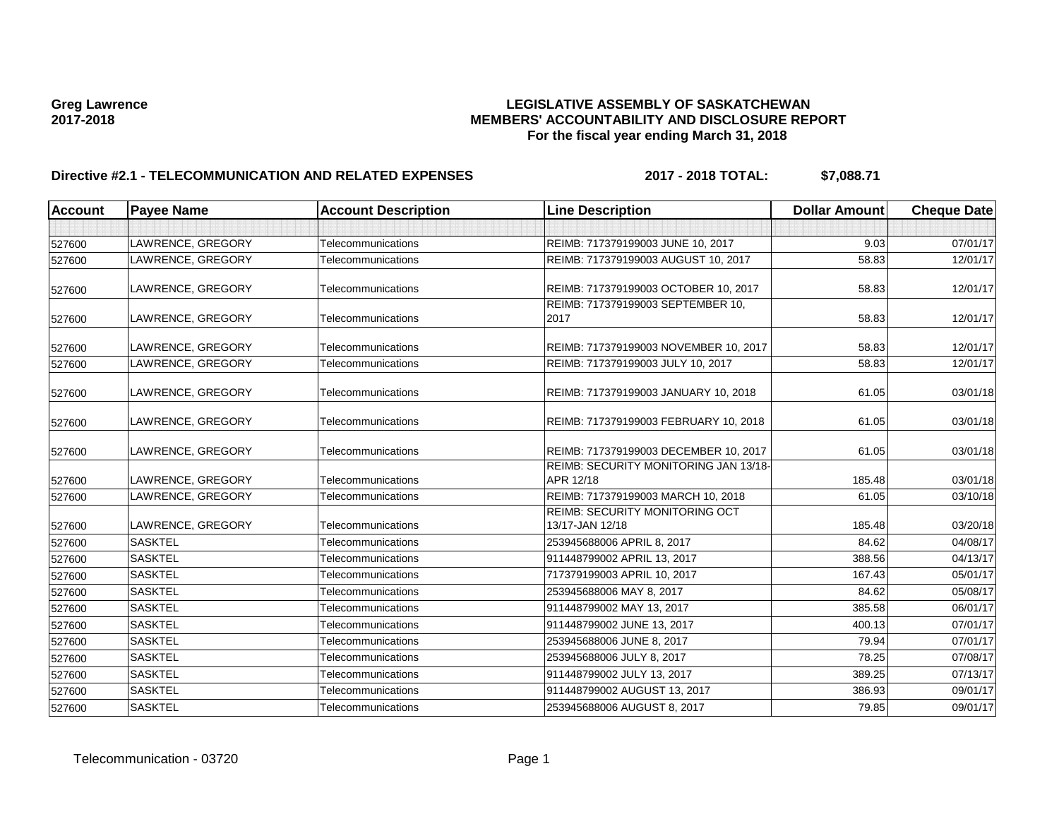# Greg Lawrence **Cameral Construction Construction Cameral Construction Construction**<br>MEMBERS' ACCOUNTABILITY AND DISCLOSURE REF **2017-2018 MEMBERS' ACCOUNTABILITY AND DISCLOSURE REPORT For the fiscal year ending March 31, 2018**

## **Directive #2.1 - TELECOMMUNICATION AND RELATED EXPENSES 2017 - 2018 TOTAL: \$7,088.71**

| <b>Account</b> | <b>Payee Name</b> | <b>Account Description</b> | <b>Line Description</b>                                  | <b>Dollar Amount</b> | <b>Cheque Date</b> |
|----------------|-------------------|----------------------------|----------------------------------------------------------|----------------------|--------------------|
|                |                   |                            |                                                          |                      |                    |
| 527600         | LAWRENCE, GREGORY | Telecommunications         | REIMB: 717379199003 JUNE 10, 2017                        | 9.03                 | 07/01/17           |
| 527600         | LAWRENCE, GREGORY | Telecommunications         | REIMB: 717379199003 AUGUST 10, 2017                      | 58.83                | 12/01/17           |
| 527600         | LAWRENCE, GREGORY | Telecommunications         | REIMB: 717379199003 OCTOBER 10, 2017                     | 58.83                | 12/01/17           |
| 527600         | LAWRENCE, GREGORY | Telecommunications         | REIMB: 717379199003 SEPTEMBER 10,<br>2017                | 58.83                | 12/01/17           |
| 527600         | LAWRENCE, GREGORY | Telecommunications         | REIMB: 717379199003 NOVEMBER 10, 2017                    | 58.83                | 12/01/17           |
| 527600         | LAWRENCE, GREGORY | Telecommunications         | REIMB: 717379199003 JULY 10, 2017                        | 58.83                | 12/01/17           |
| 527600         | LAWRENCE, GREGORY | Telecommunications         | REIMB: 717379199003 JANUARY 10, 2018                     | 61.05                | 03/01/18           |
| 527600         | LAWRENCE, GREGORY | Telecommunications         | REIMB: 717379199003 FEBRUARY 10, 2018                    | 61.05                | 03/01/18           |
| 527600         | LAWRENCE, GREGORY | Telecommunications         | REIMB: 717379199003 DECEMBER 10, 2017                    | 61.05                | 03/01/18           |
| 527600         | LAWRENCE, GREGORY | Telecommunications         | REIMB: SECURITY MONITORING JAN 13/18-<br>APR 12/18       | 185.48               | 03/01/18           |
| 527600         | LAWRENCE, GREGORY | Telecommunications         | REIMB: 717379199003 MARCH 10, 2018                       | 61.05                | 03/10/18           |
| 527600         | LAWRENCE, GREGORY | Telecommunications         | <b>REIMB: SECURITY MONITORING OCT</b><br>13/17-JAN 12/18 | 185.48               | 03/20/18           |
| 527600         | <b>SASKTEL</b>    | Telecommunications         | 253945688006 APRIL 8, 2017                               | 84.62                | 04/08/17           |
| 527600         | <b>SASKTEL</b>    | Telecommunications         | 911448799002 APRIL 13, 2017                              | 388.56               | 04/13/17           |
| 527600         | <b>SASKTEL</b>    | Telecommunications         | 717379199003 APRIL 10, 2017                              | 167.43               | 05/01/17           |
| 527600         | <b>SASKTEL</b>    | Telecommunications         | 253945688006 MAY 8, 2017                                 | 84.62                | 05/08/17           |
| 527600         | <b>SASKTEL</b>    | Telecommunications         | 911448799002 MAY 13, 2017                                | 385.58               | 06/01/17           |
| 527600         | <b>SASKTEL</b>    | Telecommunications         | 911448799002 JUNE 13, 2017                               | 400.13               | 07/01/17           |
| 527600         | <b>SASKTEL</b>    | Telecommunications         | 253945688006 JUNE 8, 2017                                | 79.94                | 07/01/17           |
| 527600         | <b>SASKTEL</b>    | Telecommunications         | 253945688006 JULY 8, 2017                                | 78.25                | 07/08/17           |
| 527600         | <b>SASKTEL</b>    | Telecommunications         | 911448799002 JULY 13, 2017                               | 389.25               | 07/13/17           |
| 527600         | <b>SASKTEL</b>    | Telecommunications         | 911448799002 AUGUST 13, 2017                             | 386.93               | 09/01/17           |
| 527600         | <b>SASKTEL</b>    | Telecommunications         | 253945688006 AUGUST 8, 2017                              | 79.85                | 09/01/17           |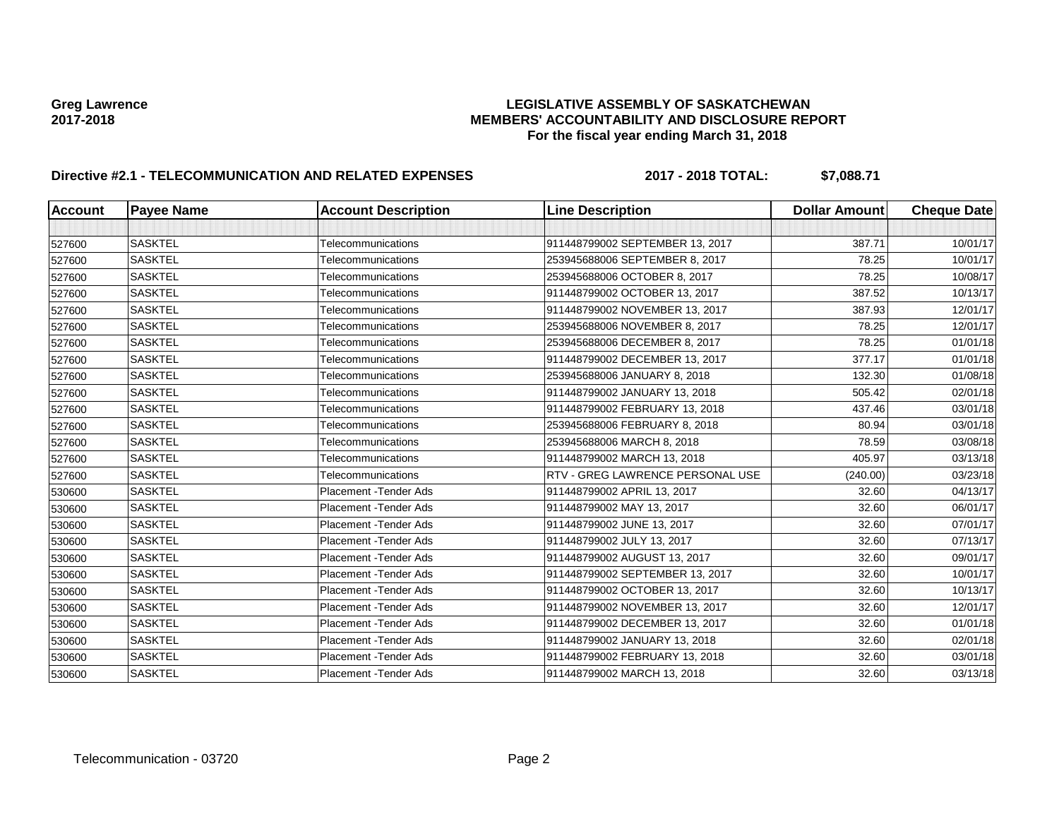# Greg Lawrence **Cameral Construction Construction Cameral Construction Construction**<br>MEMBERS' ACCOUNTABILITY AND DISCLOSURE REF **2017-2018 MEMBERS' ACCOUNTABILITY AND DISCLOSURE REPORT For the fiscal year ending March 31, 2018**

# **Directive #2.1 - TELECOMMUNICATION AND RELATED EXPENSES 2017 - 2018 TOTAL: \$7,088.71**

| <b>Account</b> | <b>Payee Name</b> | <b>Account Description</b> | <b>Line Description</b>          | <b>Dollar Amount</b> | <b>Cheque Date</b> |
|----------------|-------------------|----------------------------|----------------------------------|----------------------|--------------------|
|                |                   |                            |                                  |                      |                    |
| 527600         | <b>SASKTEL</b>    | Telecommunications         | 911448799002 SEPTEMBER 13, 2017  | 387.71               | 10/01/17           |
| 527600         | <b>SASKTEL</b>    | Telecommunications         | 253945688006 SEPTEMBER 8, 2017   | 78.25                | 10/01/17           |
| 527600         | <b>SASKTEL</b>    | Telecommunications         | 253945688006 OCTOBER 8, 2017     | 78.25                | 10/08/17           |
| 527600         | <b>SASKTEL</b>    | Telecommunications         | 911448799002 OCTOBER 13, 2017    | 387.52               | 10/13/17           |
| 527600         | <b>SASKTEL</b>    | Telecommunications         | 911448799002 NOVEMBER 13, 2017   | 387.93               | 12/01/17           |
| 527600         | <b>SASKTEL</b>    | <b>Telecommunications</b>  | 253945688006 NOVEMBER 8, 2017    | 78.25                | 12/01/17           |
| 527600         | <b>SASKTEL</b>    | Telecommunications         | 253945688006 DECEMBER 8, 2017    | 78.25                | 01/01/18           |
| 527600         | <b>SASKTEL</b>    | Telecommunications         | 911448799002 DECEMBER 13, 2017   | 377.17               | 01/01/18           |
| 527600         | <b>SASKTEL</b>    | Telecommunications         | 253945688006 JANUARY 8, 2018     | 132.30               | 01/08/18           |
| 527600         | <b>SASKTEL</b>    | Telecommunications         | 911448799002 JANUARY 13, 2018    | 505.42               | 02/01/18           |
| 527600         | <b>SASKTEL</b>    | Telecommunications         | 911448799002 FEBRUARY 13, 2018   | 437.46               | 03/01/18           |
| 527600         | <b>SASKTEL</b>    | Telecommunications         | 253945688006 FEBRUARY 8, 2018    | 80.94                | 03/01/18           |
| 527600         | <b>SASKTEL</b>    | Telecommunications         | 253945688006 MARCH 8, 2018       | 78.59                | 03/08/18           |
| 527600         | <b>SASKTEL</b>    | Telecommunications         | 911448799002 MARCH 13, 2018      | 405.97               | 03/13/18           |
| 527600         | <b>SASKTEL</b>    | Telecommunications         | RTV - GREG LAWRENCE PERSONAL USE | (240.00)             | 03/23/18           |
| 530600         | <b>SASKTEL</b>    | Placement - Tender Ads     | 911448799002 APRIL 13, 2017      | 32.60                | 04/13/17           |
| 530600         | <b>SASKTEL</b>    | Placement - Tender Ads     | 911448799002 MAY 13, 2017        | 32.60                | 06/01/17           |
| 530600         | <b>SASKTEL</b>    | Placement - Tender Ads     | 911448799002 JUNE 13, 2017       | 32.60                | 07/01/17           |
| 530600         | <b>SASKTEL</b>    | Placement - Tender Ads     | 911448799002 JULY 13, 2017       | 32.60                | 07/13/17           |
| 530600         | <b>SASKTEL</b>    | Placement - Tender Ads     | 911448799002 AUGUST 13, 2017     | 32.60                | 09/01/17           |
| 530600         | <b>SASKTEL</b>    | Placement - Tender Ads     | 911448799002 SEPTEMBER 13, 2017  | 32.60                | 10/01/17           |
| 530600         | <b>SASKTEL</b>    | Placement - Tender Ads     | 911448799002 OCTOBER 13, 2017    | 32.60                | 10/13/17           |
| 530600         | <b>SASKTEL</b>    | Placement - Tender Ads     | 911448799002 NOVEMBER 13, 2017   | 32.60                | 12/01/17           |
| 530600         | <b>SASKTEL</b>    | Placement - Tender Ads     | 911448799002 DECEMBER 13, 2017   | 32.60                | 01/01/18           |
| 530600         | <b>SASKTEL</b>    | Placement - Tender Ads     | 911448799002 JANUARY 13, 2018    | 32.60                | 02/01/18           |
| 530600         | <b>SASKTEL</b>    | Placement - Tender Ads     | 911448799002 FEBRUARY 13, 2018   | 32.60                | 03/01/18           |
| 530600         | <b>SASKTEL</b>    | Placement - Tender Ads     | 911448799002 MARCH 13, 2018      | 32.60                | 03/13/18           |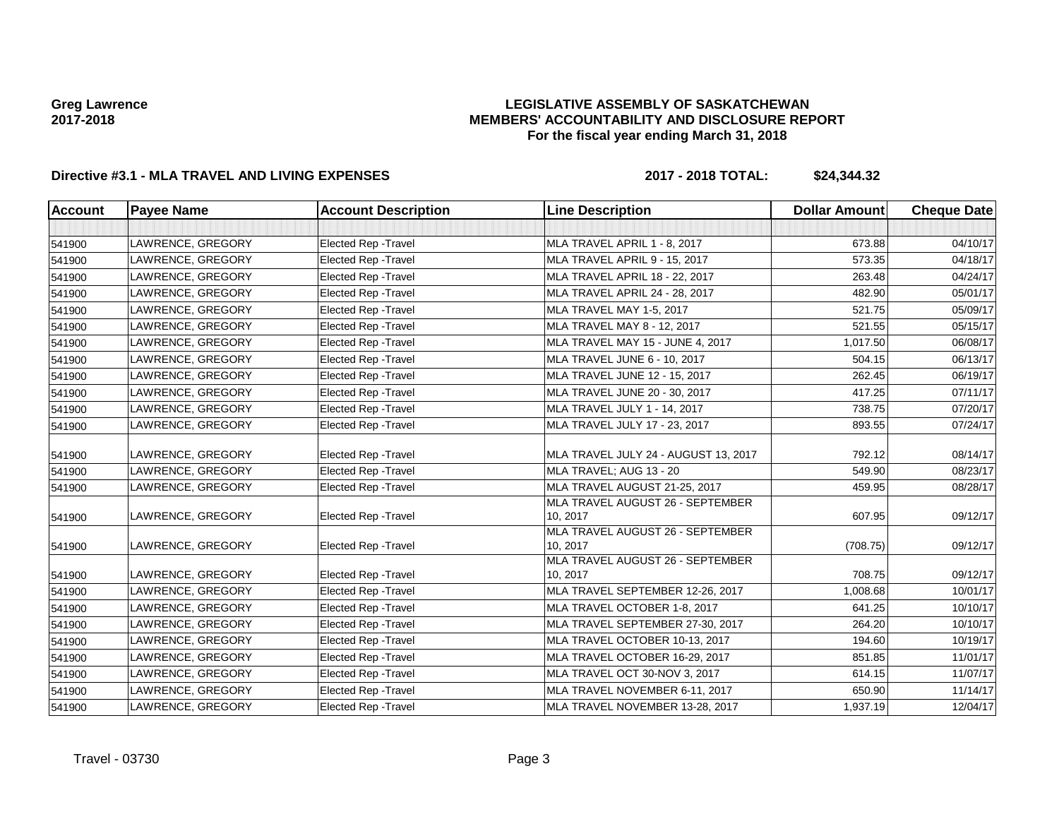### **LEGISLATIVE ASSEMBLY OF SASKATCHEWAN MEMBERS' ACCOUNTABILITY AND DISCLOSURE REPORT For the fiscal year ending March 31, 2018**

## **Directive #3.1 - MLA TRAVEL AND LIVING EXPENSES 2017 - 2018 TOTAL: \$24,344.32**

| <b>Account</b> | <b>Payee Name</b> | <b>Account Description</b>  | <b>Line Description</b>                      | <b>Dollar Amount</b> | <b>Cheque Date</b> |
|----------------|-------------------|-----------------------------|----------------------------------------------|----------------------|--------------------|
|                |                   |                             |                                              |                      |                    |
| 541900         | LAWRENCE, GREGORY | <b>Elected Rep - Travel</b> | MLA TRAVEL APRIL 1 - 8, 2017                 | 673.88               | 04/10/17           |
| 541900         | LAWRENCE, GREGORY | <b>Elected Rep - Travel</b> | MLA TRAVEL APRIL 9 - 15, 2017                | 573.35               | 04/18/17           |
| 541900         | LAWRENCE, GREGORY | <b>Elected Rep - Travel</b> | MLA TRAVEL APRIL 18 - 22, 2017               | 263.48               | 04/24/17           |
| 541900         | LAWRENCE, GREGORY | <b>Elected Rep - Travel</b> | MLA TRAVEL APRIL 24 - 28, 2017               | 482.90               | 05/01/17           |
| 541900         | LAWRENCE, GREGORY | <b>Elected Rep - Travel</b> | MLA TRAVEL MAY 1-5, 2017                     | 521.75               | 05/09/17           |
| 541900         | LAWRENCE, GREGORY | <b>Elected Rep - Travel</b> | MLA TRAVEL MAY 8 - 12, 2017                  | 521.55               | 05/15/17           |
| 541900         | LAWRENCE, GREGORY | Elected Rep - Travel        | MLA TRAVEL MAY 15 - JUNE 4, 2017             | 1,017.50             | 06/08/17           |
| 541900         | LAWRENCE, GREGORY | <b>Elected Rep - Travel</b> | MLA TRAVEL JUNE 6 - 10, 2017                 | 504.15               | 06/13/17           |
| 541900         | LAWRENCE, GREGORY | <b>Elected Rep - Travel</b> | MLA TRAVEL JUNE 12 - 15, 2017                | 262.45               | 06/19/17           |
| 541900         | LAWRENCE, GREGORY | Elected Rep - Travel        | MLA TRAVEL JUNE 20 - 30, 2017                | 417.25               | 07/11/17           |
| 541900         | LAWRENCE, GREGORY | <b>Elected Rep - Travel</b> | MLA TRAVEL JULY 1 - 14, 2017                 | 738.75               | 07/20/17           |
| 541900         | LAWRENCE, GREGORY | Elected Rep - Travel        | MLA TRAVEL JULY 17 - 23, 2017                | 893.55               | 07/24/17           |
| 541900         | LAWRENCE, GREGORY | <b>Elected Rep - Travel</b> | MLA TRAVEL JULY 24 - AUGUST 13, 2017         | 792.12               | 08/14/17           |
| 541900         | LAWRENCE, GREGORY | <b>Elected Rep - Travel</b> | MLA TRAVEL; AUG 13 - 20                      | 549.90               | 08/23/17           |
| 541900         | LAWRENCE, GREGORY | <b>Elected Rep - Travel</b> | MLA TRAVEL AUGUST 21-25, 2017                | 459.95               | 08/28/17           |
| 541900         | LAWRENCE, GREGORY | Elected Rep - Travel        | MLA TRAVEL AUGUST 26 - SEPTEMBER<br>10, 2017 | 607.95               | 09/12/17           |
| 541900         | LAWRENCE, GREGORY | Elected Rep - Travel        | MLA TRAVEL AUGUST 26 - SEPTEMBER<br>10, 2017 | (708.75)             | 09/12/17           |
| 541900         | LAWRENCE, GREGORY | Elected Rep - Travel        | MLA TRAVEL AUGUST 26 - SEPTEMBER<br>10, 2017 | 708.75               | 09/12/17           |
| 541900         | LAWRENCE, GREGORY | <b>Elected Rep - Travel</b> | MLA TRAVEL SEPTEMBER 12-26, 2017             | 1,008.68             | 10/01/17           |
| 541900         | LAWRENCE, GREGORY | Elected Rep - Travel        | MLA TRAVEL OCTOBER 1-8, 2017                 | 641.25               | 10/10/17           |
| 541900         | LAWRENCE, GREGORY | Elected Rep - Travel        | MLA TRAVEL SEPTEMBER 27-30, 2017             | 264.20               | 10/10/17           |
| 541900         | LAWRENCE, GREGORY | Elected Rep - Travel        | MLA TRAVEL OCTOBER 10-13, 2017               | 194.60               | 10/19/17           |
| 541900         | LAWRENCE, GREGORY | Elected Rep - Travel        | MLA TRAVEL OCTOBER 16-29, 2017               | 851.85               | 11/01/17           |
| 541900         | LAWRENCE, GREGORY | Elected Rep - Travel        | MLA TRAVEL OCT 30-NOV 3, 2017                | 614.15               | 11/07/17           |
| 541900         | LAWRENCE, GREGORY | Elected Rep - Travel        | MLA TRAVEL NOVEMBER 6-11, 2017               | 650.90               | 11/14/17           |
| 541900         | LAWRENCE, GREGORY | Elected Rep - Travel        | MLA TRAVEL NOVEMBER 13-28, 2017              | 1,937.19             | 12/04/17           |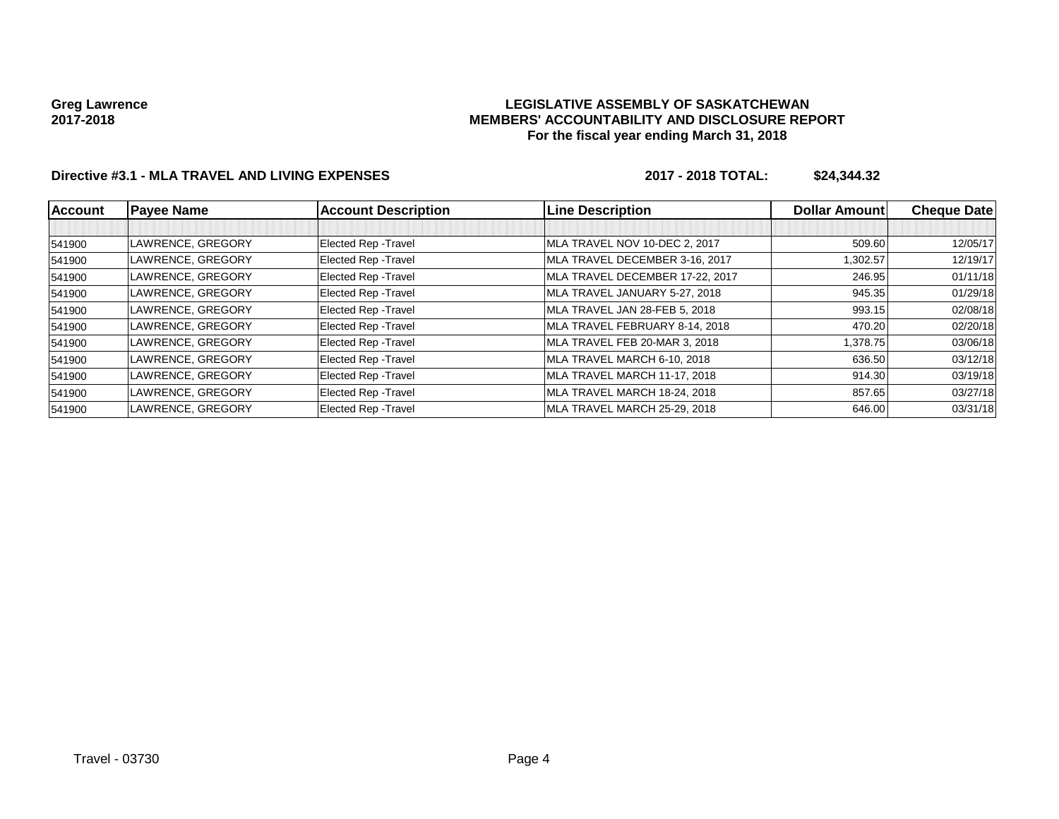### **LEGISLATIVE ASSEMBLY OF SASKATCHEWAN MEMBERS' ACCOUNTABILITY AND DISCLOSURE REPORT For the fiscal year ending March 31, 2018**

# **Directive #3.1 - MLA TRAVEL AND LIVING EXPENSES 2017 - 2018 TOTAL: \$24,344.32**

| <b>Account</b> | <b>Payee Name</b> | <b>Account Description</b> | <b>Line Description</b>         | <b>Dollar Amount</b> | <b>Cheque Date</b> |
|----------------|-------------------|----------------------------|---------------------------------|----------------------|--------------------|
|                |                   |                            |                                 |                      |                    |
| 541900         | LAWRENCE, GREGORY | Elected Rep - Travel       | MLA TRAVEL NOV 10-DEC 2, 2017   | 509.60               | 12/05/17           |
| 541900         | LAWRENCE, GREGORY | Elected Rep - Travel       | MLA TRAVEL DECEMBER 3-16, 2017  | 1.302.57             | 12/19/17           |
| 541900         | LAWRENCE, GREGORY | Elected Rep - Travel       | MLA TRAVEL DECEMBER 17-22, 2017 | 246.95               | 01/11/18           |
| 541900         | LAWRENCE, GREGORY | Elected Rep - Travel       | MLA TRAVEL JANUARY 5-27, 2018   | 945.35               | 01/29/18           |
| 541900         | LAWRENCE, GREGORY | Elected Rep - Travel       | MLA TRAVEL JAN 28-FEB 5, 2018   | 993.15               | 02/08/18           |
| 541900         | LAWRENCE, GREGORY | Elected Rep - Travel       | MLA TRAVEL FEBRUARY 8-14, 2018  | 470.20               | 02/20/18           |
| 541900         | LAWRENCE, GREGORY | Elected Rep - Travel       | MLA TRAVEL FEB 20-MAR 3, 2018   | 1,378.75             | 03/06/18           |
| 541900         | LAWRENCE, GREGORY | Elected Rep - Travel       | MLA TRAVEL MARCH 6-10, 2018     | 636.50               | 03/12/18           |
| 541900         | LAWRENCE, GREGORY | Elected Rep - Travel       | MLA TRAVEL MARCH 11-17, 2018    | 914.30               | 03/19/18           |
| 541900         | LAWRENCE, GREGORY | Elected Rep - Travel       | MLA TRAVEL MARCH 18-24, 2018    | 857.65               | 03/27/18           |
| 541900         | LAWRENCE, GREGORY | Elected Rep - Travel       | MLA TRAVEL MARCH 25-29, 2018    | 646.00               | 03/31/18           |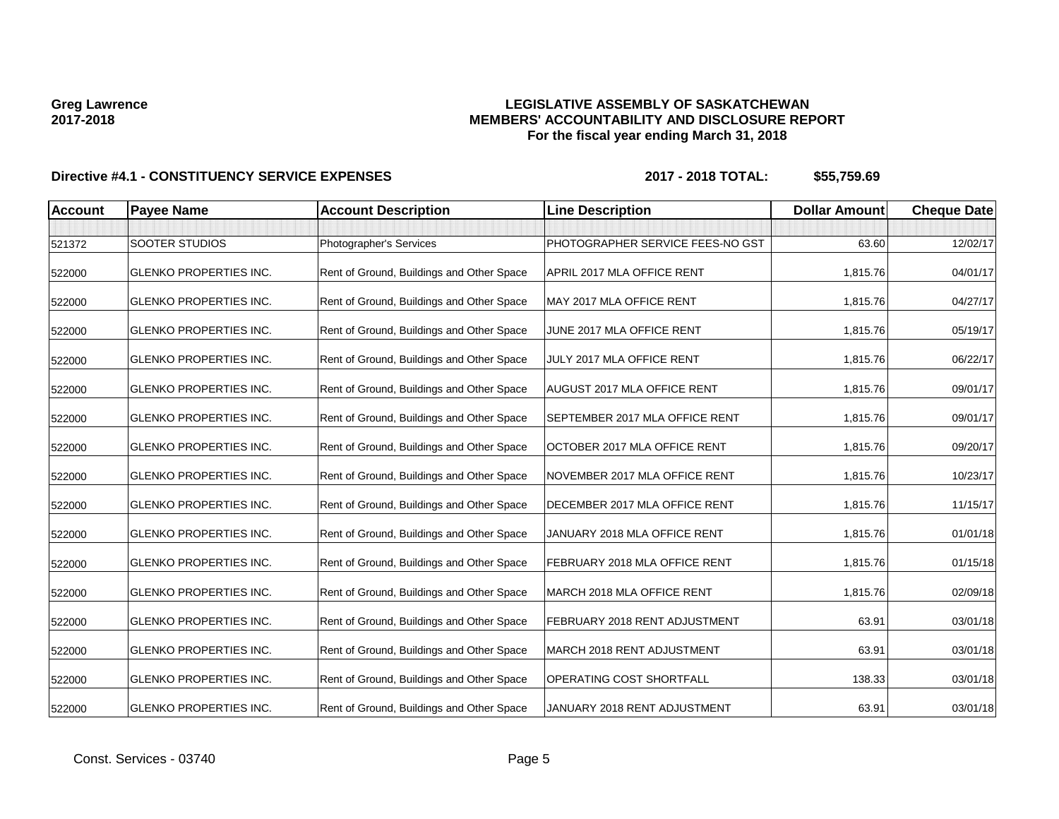### **LEGISLATIVE ASSEMBLY OF SASKATCHEWAN MEMBERS' ACCOUNTABILITY AND DISCLOSURE REPORT For the fiscal year ending March 31, 2018**

| <b>Account</b> | <b>Payee Name</b>             | <b>Account Description</b>                | <b>Line Description</b>            | <b>Dollar Amount</b> | <b>Cheque Date</b> |
|----------------|-------------------------------|-------------------------------------------|------------------------------------|----------------------|--------------------|
|                |                               |                                           |                                    |                      |                    |
| 521372         | <b>SOOTER STUDIOS</b>         | Photographer's Services                   | PHOTOGRAPHER SERVICE FEES-NO GST   | 63.60                | 12/02/17           |
| 522000         | <b>GLENKO PROPERTIES INC.</b> | Rent of Ground, Buildings and Other Space | APRIL 2017 MLA OFFICE RENT         | 1,815.76             | 04/01/17           |
| 522000         | <b>GLENKO PROPERTIES INC.</b> | Rent of Ground, Buildings and Other Space | MAY 2017 MLA OFFICE RENT           | 1,815.76             | 04/27/17           |
| 522000         | <b>GLENKO PROPERTIES INC.</b> | Rent of Ground, Buildings and Other Space | JUNE 2017 MLA OFFICE RENT          | 1,815.76             | 05/19/17           |
| 522000         | <b>GLENKO PROPERTIES INC.</b> | Rent of Ground, Buildings and Other Space | JULY 2017 MLA OFFICE RENT          | 1,815.76             | 06/22/17           |
| 522000         | <b>GLENKO PROPERTIES INC.</b> | Rent of Ground, Buildings and Other Space | <b>AUGUST 2017 MLA OFFICE RENT</b> | 1,815.76             | 09/01/17           |
| 522000         | <b>GLENKO PROPERTIES INC.</b> | Rent of Ground, Buildings and Other Space | SEPTEMBER 2017 MLA OFFICE RENT     | 1,815.76             | 09/01/17           |
| 522000         | <b>GLENKO PROPERTIES INC.</b> | Rent of Ground, Buildings and Other Space | OCTOBER 2017 MLA OFFICE RENT       | 1,815.76             | 09/20/17           |
| 522000         | <b>GLENKO PROPERTIES INC.</b> | Rent of Ground, Buildings and Other Space | NOVEMBER 2017 MLA OFFICE RENT      | 1,815.76             | 10/23/17           |
| 522000         | <b>GLENKO PROPERTIES INC.</b> | Rent of Ground, Buildings and Other Space | DECEMBER 2017 MLA OFFICE RENT      | 1,815.76             | 11/15/17           |
| 522000         | <b>GLENKO PROPERTIES INC.</b> | Rent of Ground, Buildings and Other Space | JANUARY 2018 MLA OFFICE RENT       | 1,815.76             | 01/01/18           |
| 522000         | <b>GLENKO PROPERTIES INC.</b> | Rent of Ground, Buildings and Other Space | FEBRUARY 2018 MLA OFFICE RENT      | 1,815.76             | 01/15/18           |
| 522000         | <b>GLENKO PROPERTIES INC.</b> | Rent of Ground, Buildings and Other Space | MARCH 2018 MLA OFFICE RENT         | 1,815.76             | 02/09/18           |
| 522000         | <b>GLENKO PROPERTIES INC.</b> | Rent of Ground, Buildings and Other Space | FEBRUARY 2018 RENT ADJUSTMENT      | 63.91                | 03/01/18           |
| 522000         | <b>GLENKO PROPERTIES INC.</b> | Rent of Ground, Buildings and Other Space | MARCH 2018 RENT ADJUSTMENT         | 63.91                | 03/01/18           |
| 522000         | <b>GLENKO PROPERTIES INC.</b> | Rent of Ground, Buildings and Other Space | <b>OPERATING COST SHORTFALL</b>    | 138.33               | 03/01/18           |
| 522000         | <b>GLENKO PROPERTIES INC.</b> | Rent of Ground, Buildings and Other Space | JANUARY 2018 RENT ADJUSTMENT       | 63.91                | 03/01/18           |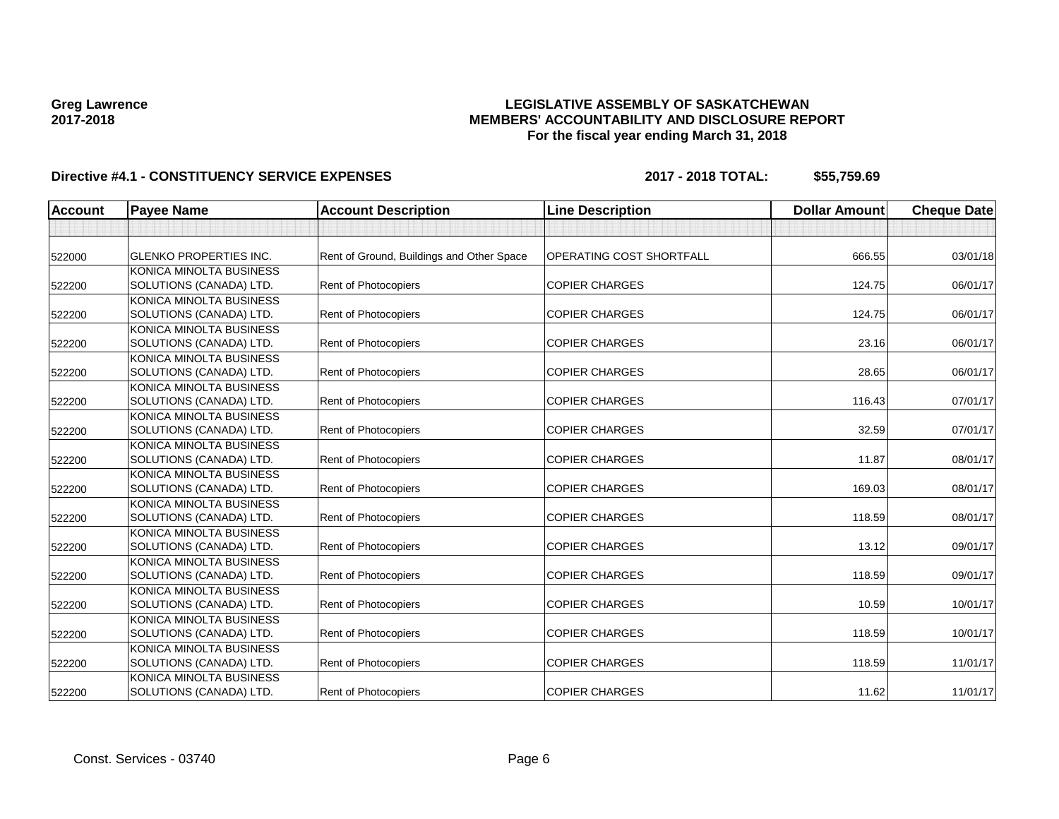### **LEGISLATIVE ASSEMBLY OF SASKATCHEWAN MEMBERS' ACCOUNTABILITY AND DISCLOSURE REPORT For the fiscal year ending March 31, 2018**

| <b>Account</b> | <b>Payee Name</b>             | <b>Account Description</b>                | <b>Line Description</b>         | <b>Dollar Amount</b> | <b>Cheque Date</b> |
|----------------|-------------------------------|-------------------------------------------|---------------------------------|----------------------|--------------------|
|                |                               |                                           |                                 |                      |                    |
| 522000         | <b>GLENKO PROPERTIES INC.</b> | Rent of Ground, Buildings and Other Space | <b>OPERATING COST SHORTFALL</b> | 666.55               | 03/01/18           |
|                | KONICA MINOLTA BUSINESS       |                                           |                                 |                      |                    |
| 522200         | SOLUTIONS (CANADA) LTD.       | Rent of Photocopiers                      | <b>COPIER CHARGES</b>           | 124.75               | 06/01/17           |
|                | KONICA MINOLTA BUSINESS       |                                           |                                 |                      |                    |
| 522200         | SOLUTIONS (CANADA) LTD.       | <b>Rent of Photocopiers</b>               | <b>COPIER CHARGES</b>           | 124.75               | 06/01/17           |
|                | KONICA MINOLTA BUSINESS       |                                           |                                 |                      |                    |
| 522200         | SOLUTIONS (CANADA) LTD.       | Rent of Photocopiers                      | <b>COPIER CHARGES</b>           | 23.16                | 06/01/17           |
|                | KONICA MINOLTA BUSINESS       |                                           |                                 |                      |                    |
| 522200         | SOLUTIONS (CANADA) LTD.       | Rent of Photocopiers                      | <b>COPIER CHARGES</b>           | 28.65                | 06/01/17           |
|                | KONICA MINOLTA BUSINESS       |                                           |                                 |                      |                    |
| 522200         | SOLUTIONS (CANADA) LTD.       | Rent of Photocopiers                      | <b>COPIER CHARGES</b>           | 116.43               | 07/01/17           |
|                | KONICA MINOLTA BUSINESS       |                                           |                                 |                      |                    |
| 522200         | SOLUTIONS (CANADA) LTD.       | Rent of Photocopiers                      | <b>COPIER CHARGES</b>           | 32.59                | 07/01/17           |
|                | KONICA MINOLTA BUSINESS       |                                           |                                 |                      |                    |
| 522200         | SOLUTIONS (CANADA) LTD.       | Rent of Photocopiers                      | <b>COPIER CHARGES</b>           | 11.87                | 08/01/17           |
|                | KONICA MINOLTA BUSINESS       |                                           |                                 |                      |                    |
| 522200         | SOLUTIONS (CANADA) LTD.       | Rent of Photocopiers                      | <b>COPIER CHARGES</b>           | 169.03               | 08/01/17           |
|                | KONICA MINOLTA BUSINESS       |                                           |                                 |                      |                    |
| 522200         | SOLUTIONS (CANADA) LTD.       | Rent of Photocopiers                      | <b>COPIER CHARGES</b>           | 118.59               | 08/01/17           |
|                | KONICA MINOLTA BUSINESS       |                                           |                                 |                      |                    |
| 522200         | SOLUTIONS (CANADA) LTD.       | Rent of Photocopiers                      | <b>COPIER CHARGES</b>           | 13.12                | 09/01/17           |
|                | KONICA MINOLTA BUSINESS       |                                           |                                 |                      |                    |
| 522200         | SOLUTIONS (CANADA) LTD.       | Rent of Photocopiers                      | <b>COPIER CHARGES</b>           | 118.59               | 09/01/17           |
|                | KONICA MINOLTA BUSINESS       |                                           |                                 |                      |                    |
| 522200         | SOLUTIONS (CANADA) LTD.       | Rent of Photocopiers                      | <b>COPIER CHARGES</b>           | 10.59                | 10/01/17           |
|                | KONICA MINOLTA BUSINESS       |                                           |                                 |                      |                    |
| 522200         | SOLUTIONS (CANADA) LTD.       | Rent of Photocopiers                      | <b>COPIER CHARGES</b>           | 118.59               | 10/01/17           |
|                | KONICA MINOLTA BUSINESS       |                                           |                                 |                      |                    |
| 522200         | SOLUTIONS (CANADA) LTD.       | Rent of Photocopiers                      | <b>COPIER CHARGES</b>           | 118.59               | 11/01/17           |
|                | KONICA MINOLTA BUSINESS       |                                           |                                 |                      |                    |
| 522200         | SOLUTIONS (CANADA) LTD.       | Rent of Photocopiers                      | <b>COPIER CHARGES</b>           | 11.62                | 11/01/17           |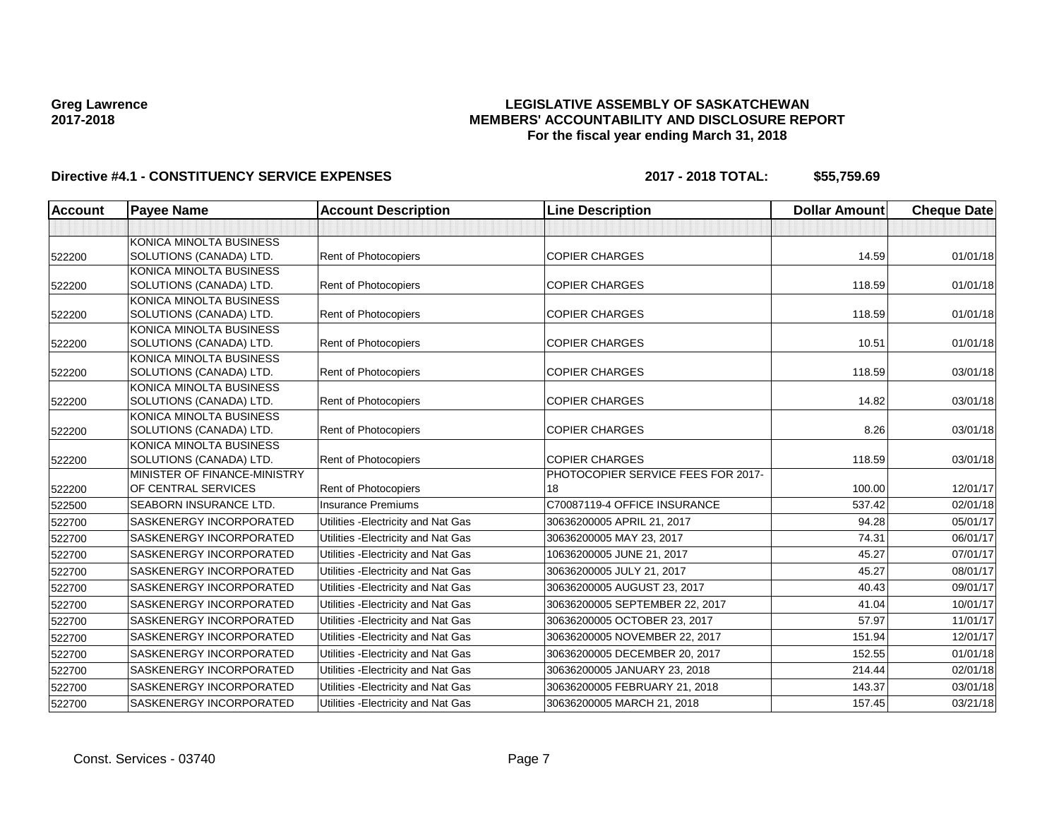### **LEGISLATIVE ASSEMBLY OF SASKATCHEWAN MEMBERS' ACCOUNTABILITY AND DISCLOSURE REPORT For the fiscal year ending March 31, 2018**

| Account | <b>Payee Name</b>                                  | <b>Account Description</b>          | <b>Line Description</b>            | <b>Dollar Amount</b> | <b>Cheque Date</b> |
|---------|----------------------------------------------------|-------------------------------------|------------------------------------|----------------------|--------------------|
|         |                                                    |                                     |                                    |                      |                    |
|         | KONICA MINOLTA BUSINESS                            |                                     |                                    |                      |                    |
| 522200  | SOLUTIONS (CANADA) LTD.                            | Rent of Photocopiers                | <b>COPIER CHARGES</b>              | 14.59                | 01/01/18           |
|         | KONICA MINOLTA BUSINESS                            |                                     |                                    |                      |                    |
| 522200  | SOLUTIONS (CANADA) LTD.                            | Rent of Photocopiers                | <b>COPIER CHARGES</b>              | 118.59               | 01/01/18           |
|         | KONICA MINOLTA BUSINESS                            |                                     |                                    |                      |                    |
| 522200  | SOLUTIONS (CANADA) LTD.                            | Rent of Photocopiers                | <b>COPIER CHARGES</b>              | 118.59               | 01/01/18           |
|         | KONICA MINOLTA BUSINESS                            |                                     |                                    |                      |                    |
| 522200  | SOLUTIONS (CANADA) LTD.                            | <b>Rent of Photocopiers</b>         | <b>COPIER CHARGES</b>              | 10.51                | 01/01/18           |
|         | KONICA MINOLTA BUSINESS                            |                                     |                                    |                      |                    |
| 522200  | SOLUTIONS (CANADA) LTD.                            | Rent of Photocopiers                | <b>COPIER CHARGES</b>              | 118.59               | 03/01/18           |
|         | KONICA MINOLTA BUSINESS<br>SOLUTIONS (CANADA) LTD. | Rent of Photocopiers                | <b>COPIER CHARGES</b>              | 14.82                | 03/01/18           |
| 522200  | KONICA MINOLTA BUSINESS                            |                                     |                                    |                      |                    |
| 522200  | SOLUTIONS (CANADA) LTD.                            | Rent of Photocopiers                | <b>COPIER CHARGES</b>              | 8.26                 | 03/01/18           |
|         | KONICA MINOLTA BUSINESS                            |                                     |                                    |                      |                    |
| 522200  | SOLUTIONS (CANADA) LTD.                            | Rent of Photocopiers                | <b>COPIER CHARGES</b>              | 118.59               | 03/01/18           |
|         | MINISTER OF FINANCE-MINISTRY                       |                                     | PHOTOCOPIER SERVICE FEES FOR 2017- |                      |                    |
| 522200  | OF CENTRAL SERVICES                                | <b>Rent of Photocopiers</b>         | 18                                 | 100.00               | 12/01/17           |
| 522500  | <b>SEABORN INSURANCE LTD.</b>                      | <b>Insurance Premiums</b>           | C70087119-4 OFFICE INSURANCE       | 537.42               | 02/01/18           |
| 522700  | <b>SASKENERGY INCORPORATED</b>                     | Utilities - Electricity and Nat Gas | 30636200005 APRIL 21, 2017         | 94.28                | 05/01/17           |
| 522700  | <b>SASKENERGY INCORPORATED</b>                     | Utilities - Electricity and Nat Gas | 30636200005 MAY 23, 2017           | 74.31                | 06/01/17           |
| 522700  | SASKENERGY INCORPORATED                            | Utilities - Electricity and Nat Gas | 10636200005 JUNE 21, 2017          | 45.27                | 07/01/17           |
| 522700  | <b>SASKENERGY INCORPORATED</b>                     | Utilities - Electricity and Nat Gas | 30636200005 JULY 21, 2017          | 45.27                | 08/01/17           |
| 522700  | <b>SASKENERGY INCORPORATED</b>                     | Utilities - Electricity and Nat Gas | 30636200005 AUGUST 23, 2017        | 40.43                | 09/01/17           |
| 522700  | <b>SASKENERGY INCORPORATED</b>                     | Utilities - Electricity and Nat Gas | 30636200005 SEPTEMBER 22, 2017     | 41.04                | 10/01/17           |
| 522700  | <b>SASKENERGY INCORPORATED</b>                     | Utilities - Electricity and Nat Gas | 30636200005 OCTOBER 23, 2017       | 57.97                | 11/01/17           |
| 522700  | SASKENERGY INCORPORATED                            | Utilities - Electricity and Nat Gas | 30636200005 NOVEMBER 22, 2017      | 151.94               | 12/01/17           |
| 522700  | SASKENERGY INCORPORATED                            | Utilities - Electricity and Nat Gas | 30636200005 DECEMBER 20, 2017      | 152.55               | 01/01/18           |
| 522700  | SASKENERGY INCORPORATED                            | Utilities - Electricity and Nat Gas | 30636200005 JANUARY 23, 2018       | 214.44               | 02/01/18           |
| 522700  | <b>SASKENERGY INCORPORATED</b>                     | Utilities - Electricity and Nat Gas | 30636200005 FEBRUARY 21, 2018      | 143.37               | 03/01/18           |
| 522700  | SASKENERGY INCORPORATED                            | Utilities - Electricity and Nat Gas | 30636200005 MARCH 21, 2018         | 157.45               | 03/21/18           |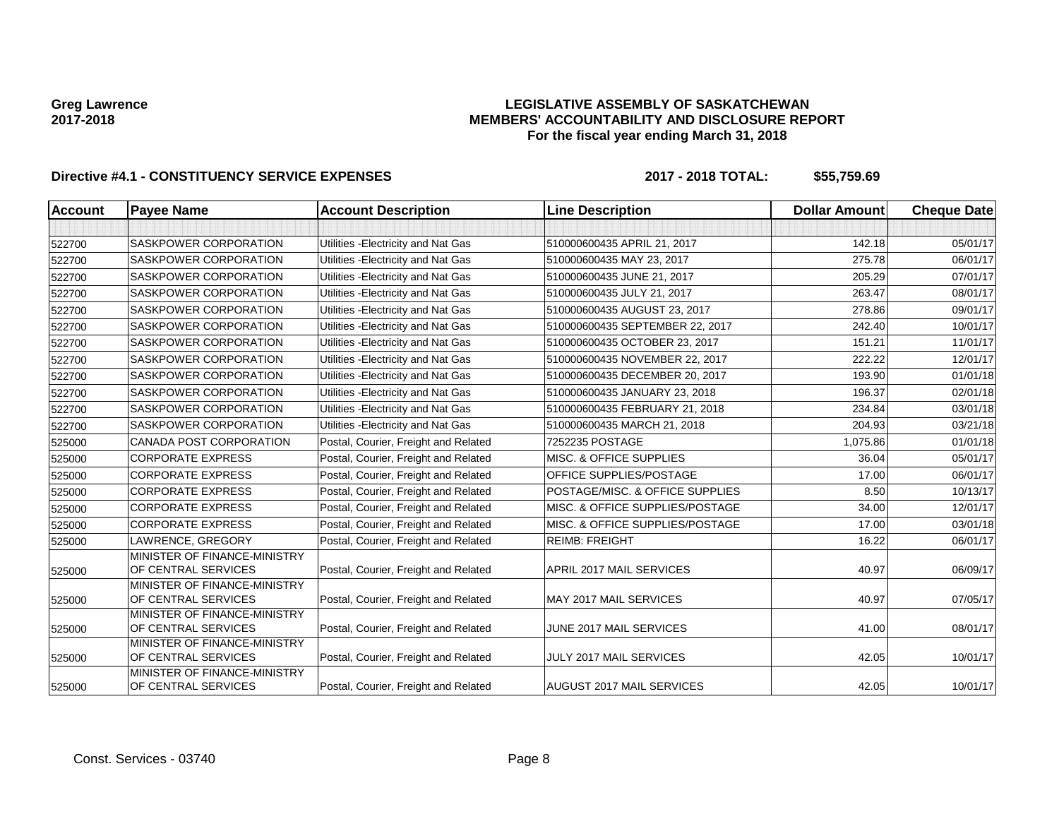### **LEGISLATIVE ASSEMBLY OF SASKATCHEWAN MEMBERS' ACCOUNTABILITY AND DISCLOSURE REPORT For the fiscal year ending March 31, 2018**

| <b>Account</b> | <b>Payee Name</b>                                   | <b>Account Description</b>           | <b>Line Description</b>            | <b>Dollar Amount</b> | <b>Cheque Date</b> |
|----------------|-----------------------------------------------------|--------------------------------------|------------------------------------|----------------------|--------------------|
|                |                                                     |                                      |                                    |                      |                    |
| 522700         | SASKPOWER CORPORATION                               | Utilities - Electricity and Nat Gas  | 510000600435 APRIL 21, 2017        | 142.18               | 05/01/17           |
| 522700         | SASKPOWER CORPORATION                               | Utilities - Electricity and Nat Gas  | 510000600435 MAY 23, 2017          | 275.78               | 06/01/17           |
| 522700         | SASKPOWER CORPORATION                               | Utilities - Electricity and Nat Gas  | 510000600435 JUNE 21, 2017         | 205.29               | 07/01/17           |
| 522700         | SASKPOWER CORPORATION                               | Utilities - Electricity and Nat Gas  | 510000600435 JULY 21, 2017         | 263.47               | 08/01/17           |
| 522700         | SASKPOWER CORPORATION                               | Utilities - Electricity and Nat Gas  | 510000600435 AUGUST 23, 2017       | 278.86               | 09/01/17           |
| 522700         | SASKPOWER CORPORATION                               | Utilities - Electricity and Nat Gas  | 510000600435 SEPTEMBER 22, 2017    | 242.40               | 10/01/17           |
| 522700         | SASKPOWER CORPORATION                               | Utilities - Electricity and Nat Gas  | 510000600435 OCTOBER 23, 2017      | 151.21               | 11/01/17           |
| 522700         | SASKPOWER CORPORATION                               | Utilities - Electricity and Nat Gas  | 510000600435 NOVEMBER 22, 2017     | 222.22               | 12/01/17           |
| 522700         | SASKPOWER CORPORATION                               | Utilities - Electricity and Nat Gas  | 510000600435 DECEMBER 20, 2017     | 193.90               | 01/01/18           |
| 522700         | SASKPOWER CORPORATION                               | Utilities - Electricity and Nat Gas  | 510000600435 JANUARY 23, 2018      | 196.37               | 02/01/18           |
| 522700         | SASKPOWER CORPORATION                               | Utilities - Electricity and Nat Gas  | 510000600435 FEBRUARY 21, 2018     | 234.84               | 03/01/18           |
| 522700         | SASKPOWER CORPORATION                               | Utilities - Electricity and Nat Gas  | 510000600435 MARCH 21, 2018        | 204.93               | 03/21/18           |
| 525000         | CANADA POST CORPORATION                             | Postal, Courier, Freight and Related | 7252235 POSTAGE                    | 1,075.86             | 01/01/18           |
| 525000         | <b>CORPORATE EXPRESS</b>                            | Postal, Courier, Freight and Related | <b>MISC. &amp; OFFICE SUPPLIES</b> | 36.04                | 05/01/17           |
| 525000         | <b>CORPORATE EXPRESS</b>                            | Postal, Courier, Freight and Related | OFFICE SUPPLIES/POSTAGE            | 17.00                | 06/01/17           |
| 525000         | <b>CORPORATE EXPRESS</b>                            | Postal, Courier, Freight and Related | POSTAGE/MISC. & OFFICE SUPPLIES    | 8.50                 | 10/13/17           |
| 525000         | <b>CORPORATE EXPRESS</b>                            | Postal, Courier, Freight and Related | MISC. & OFFICE SUPPLIES/POSTAGE    | 34.00                | 12/01/17           |
| 525000         | <b>CORPORATE EXPRESS</b>                            | Postal, Courier, Freight and Related | MISC. & OFFICE SUPPLIES/POSTAGE    | 17.00                | 03/01/18           |
| 525000         | LAWRENCE, GREGORY                                   | Postal, Courier, Freight and Related | <b>REIMB: FREIGHT</b>              | 16.22                | 06/01/17           |
| 525000         | MINISTER OF FINANCE-MINISTRY<br>OF CENTRAL SERVICES | Postal, Courier, Freight and Related | APRIL 2017 MAIL SERVICES           | 40.97                | 06/09/17           |
| 525000         | MINISTER OF FINANCE-MINISTRY<br>OF CENTRAL SERVICES | Postal, Courier, Freight and Related | MAY 2017 MAIL SERVICES             | 40.97                | 07/05/17           |
| 525000         | MINISTER OF FINANCE-MINISTRY<br>OF CENTRAL SERVICES | Postal, Courier, Freight and Related | JUNE 2017 MAIL SERVICES            | 41.00                | 08/01/17           |
| 525000         | MINISTER OF FINANCE-MINISTRY<br>OF CENTRAL SERVICES | Postal, Courier, Freight and Related | <b>JULY 2017 MAIL SERVICES</b>     | 42.05                | 10/01/17           |
| 525000         | MINISTER OF FINANCE-MINISTRY<br>OF CENTRAL SERVICES | Postal, Courier, Freight and Related | AUGUST 2017 MAIL SERVICES          | 42.05                | 10/01/17           |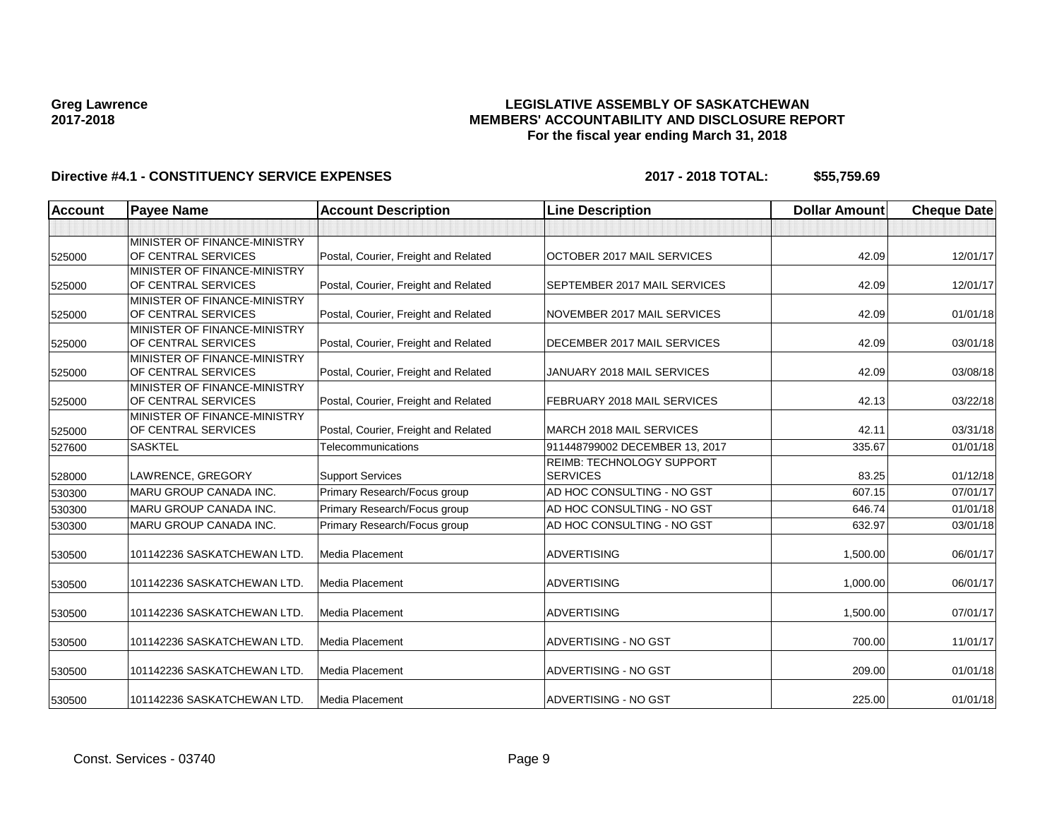### **LEGISLATIVE ASSEMBLY OF SASKATCHEWAN MEMBERS' ACCOUNTABILITY AND DISCLOSURE REPORT For the fiscal year ending March 31, 2018**

| Account | <b>Payee Name</b>                                   | <b>Account Description</b>           | <b>Line Description</b>                      | <b>Dollar Amount</b> | <b>Cheque Date</b> |
|---------|-----------------------------------------------------|--------------------------------------|----------------------------------------------|----------------------|--------------------|
|         |                                                     |                                      |                                              |                      |                    |
| 525000  | MINISTER OF FINANCE-MINISTRY<br>OF CENTRAL SERVICES | Postal, Courier, Freight and Related | OCTOBER 2017 MAIL SERVICES                   | 42.09                | 12/01/17           |
| 525000  | MINISTER OF FINANCE-MINISTRY<br>OF CENTRAL SERVICES | Postal, Courier, Freight and Related | SEPTEMBER 2017 MAIL SERVICES                 | 42.09                | 12/01/17           |
| 525000  | MINISTER OF FINANCE-MINISTRY<br>OF CENTRAL SERVICES | Postal, Courier, Freight and Related | NOVEMBER 2017 MAIL SERVICES                  | 42.09                | 01/01/18           |
| 525000  | MINISTER OF FINANCE-MINISTRY<br>OF CENTRAL SERVICES | Postal, Courier, Freight and Related | <b>DECEMBER 2017 MAIL SERVICES</b>           | 42.09                | 03/01/18           |
| 525000  | MINISTER OF FINANCE-MINISTRY<br>OF CENTRAL SERVICES | Postal, Courier, Freight and Related | JANUARY 2018 MAIL SERVICES                   | 42.09                | 03/08/18           |
| 525000  | MINISTER OF FINANCE-MINISTRY<br>OF CENTRAL SERVICES | Postal, Courier, Freight and Related | FEBRUARY 2018 MAIL SERVICES                  | 42.13                | 03/22/18           |
| 525000  | MINISTER OF FINANCE-MINISTRY<br>OF CENTRAL SERVICES | Postal, Courier, Freight and Related | MARCH 2018 MAIL SERVICES                     | 42.11                | 03/31/18           |
| 527600  | <b>SASKTEL</b>                                      | Telecommunications                   | 911448799002 DECEMBER 13, 2017               | 335.67               | 01/01/18           |
| 528000  | LAWRENCE, GREGORY                                   | <b>Support Services</b>              | REIMB: TECHNOLOGY SUPPORT<br><b>SERVICES</b> | 83.25                | 01/12/18           |
| 530300  | <b>MARU GROUP CANADA INC.</b>                       | Primary Research/Focus group         | AD HOC CONSULTING - NO GST                   | 607.15               | 07/01/17           |
| 530300  | <b>MARU GROUP CANADA INC.</b>                       | Primary Research/Focus group         | AD HOC CONSULTING - NO GST                   | 646.74               | 01/01/18           |
| 530300  | <b>MARU GROUP CANADA INC.</b>                       | Primary Research/Focus group         | AD HOC CONSULTING - NO GST                   | 632.97               | 03/01/18           |
| 530500  | 101142236 SASKATCHEWAN LTD                          | Media Placement                      | <b>ADVERTISING</b>                           | 1,500.00             | 06/01/17           |
| 530500  | 101142236 SASKATCHEWAN LTD.                         | Media Placement                      | <b>ADVERTISING</b>                           | 1,000.00             | 06/01/17           |
| 530500  | 101142236 SASKATCHEWAN LTD.                         | Media Placement                      | <b>ADVERTISING</b>                           | 1,500.00             | 07/01/17           |
| 530500  | 101142236 SASKATCHEWAN LTD.                         | Media Placement                      | ADVERTISING - NO GST                         | 700.00               | 11/01/17           |
| 530500  | 101142236 SASKATCHEWAN LTD.                         | Media Placement                      | ADVERTISING - NO GST                         | 209.00               | 01/01/18           |
| 530500  | 101142236 SASKATCHEWAN LTD.                         | Media Placement                      | ADVERTISING - NO GST                         | 225.00               | 01/01/18           |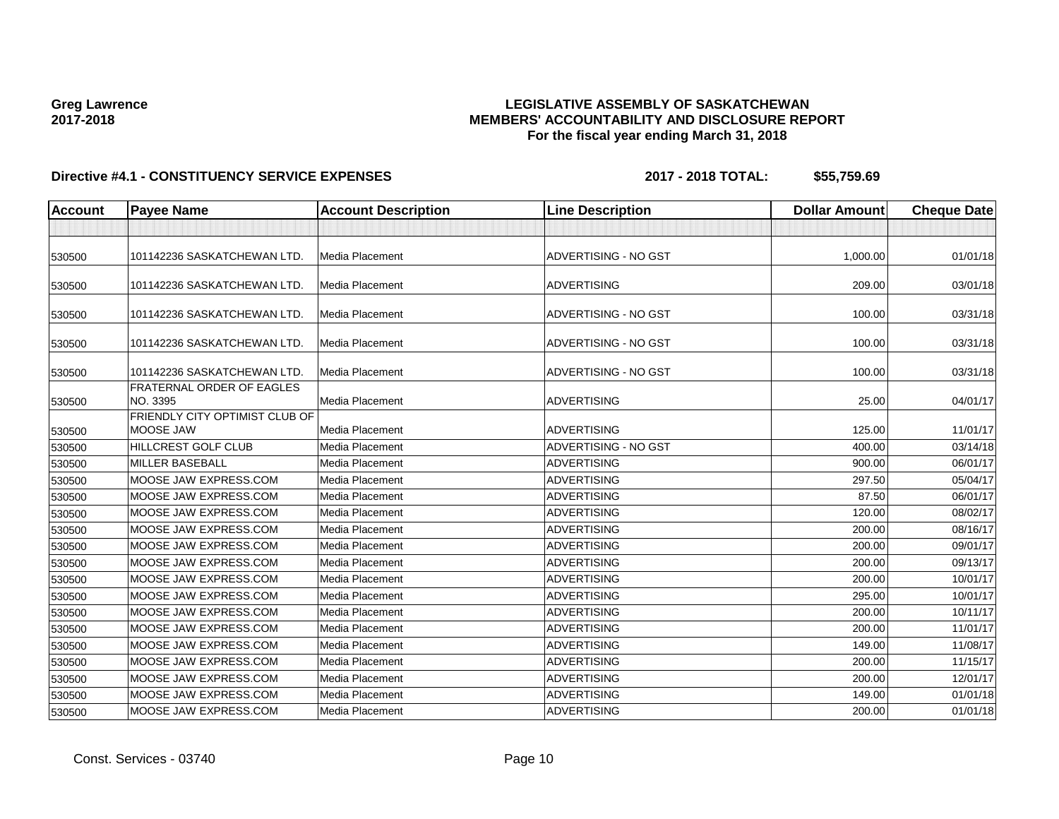### **LEGISLATIVE ASSEMBLY OF SASKATCHEWAN MEMBERS' ACCOUNTABILITY AND DISCLOSURE REPORT For the fiscal year ending March 31, 2018**

| Account | <b>Payee Name</b>                            | <b>Account Description</b> | <b>Line Description</b>     | <b>Dollar Amount</b> | <b>Cheque Date</b> |
|---------|----------------------------------------------|----------------------------|-----------------------------|----------------------|--------------------|
|         |                                              |                            |                             |                      |                    |
| 530500  | 101142236 SASKATCHEWAN LTD.                  | Media Placement            | ADVERTISING - NO GST        | 1,000.00             | 01/01/18           |
| 530500  | 101142236 SASKATCHEWAN LTD.                  | Media Placement            | <b>ADVERTISING</b>          | 209.00               | 03/01/18           |
| 530500  | 101142236 SASKATCHEWAN LTD.                  | Media Placement            | ADVERTISING - NO GST        | 100.00               | 03/31/18           |
| 530500  | 101142236 SASKATCHEWAN LTD.                  | Media Placement            | ADVERTISING - NO GST        | 100.00               | 03/31/18           |
| 530500  | 101142236 SASKATCHEWAN LTD.                  | Media Placement            | ADVERTISING - NO GST        | 100.00               | 03/31/18           |
| 530500  | <b>FRATERNAL ORDER OF EAGLES</b><br>NO. 3395 | Media Placement            | <b>ADVERTISING</b>          | 25.00                | 04/01/17           |
| 530500  | FRIENDLY CITY OPTIMIST CLUB OF<br>MOOSE JAW  | Media Placement            | <b>ADVERTISING</b>          | 125.00               | 11/01/17           |
| 530500  | <b>HILLCREST GOLF CLUB</b>                   | <b>Media Placement</b>     | <b>ADVERTISING - NO GST</b> | 400.00               | 03/14/18           |
| 530500  | <b>MILLER BASEBALL</b>                       | Media Placement            | <b>ADVERTISING</b>          | 900.00               | 06/01/17           |
| 530500  | MOOSE JAW EXPRESS.COM                        | <b>Media Placement</b>     | <b>ADVERTISING</b>          | 297.50               | 05/04/17           |
| 530500  | MOOSE JAW EXPRESS.COM                        | Media Placement            | <b>ADVERTISING</b>          | 87.50                | 06/01/17           |
| 530500  | MOOSE JAW EXPRESS.COM                        | Media Placement            | <b>ADVERTISING</b>          | 120.00               | 08/02/17           |
| 530500  | MOOSE JAW EXPRESS.COM                        | <b>Media Placement</b>     | <b>ADVERTISING</b>          | 200.00               | 08/16/17           |
| 530500  | MOOSE JAW EXPRESS.COM                        | Media Placement            | <b>ADVERTISING</b>          | 200.00               | 09/01/17           |
| 530500  | MOOSE JAW EXPRESS.COM                        | Media Placement            | <b>ADVERTISING</b>          | 200.00               | 09/13/17           |
| 530500  | MOOSE JAW EXPRESS.COM                        | Media Placement            | <b>ADVERTISING</b>          | 200.00               | 10/01/17           |
| 530500  | MOOSE JAW EXPRESS.COM                        | Media Placement            | <b>ADVERTISING</b>          | 295.00               | 10/01/17           |
| 530500  | MOOSE JAW EXPRESS.COM                        | Media Placement            | <b>ADVERTISING</b>          | 200.00               | 10/11/17           |
| 530500  | MOOSE JAW EXPRESS.COM                        | Media Placement            | <b>ADVERTISING</b>          | 200.00               | 11/01/17           |
| 530500  | MOOSE JAW EXPRESS.COM                        | <b>Media Placement</b>     | <b>ADVERTISING</b>          | 149.00               | 11/08/17           |
| 530500  | MOOSE JAW EXPRESS.COM                        | Media Placement            | ADVERTISING                 | 200.00               | 11/15/17           |
| 530500  | MOOSE JAW EXPRESS.COM                        | Media Placement            | <b>ADVERTISING</b>          | 200.00               | 12/01/17           |
| 530500  | MOOSE JAW EXPRESS.COM                        | Media Placement            | <b>ADVERTISING</b>          | 149.00               | 01/01/18           |
| 530500  | MOOSE JAW EXPRESS.COM                        | Media Placement            | <b>ADVERTISING</b>          | 200.00               | 01/01/18           |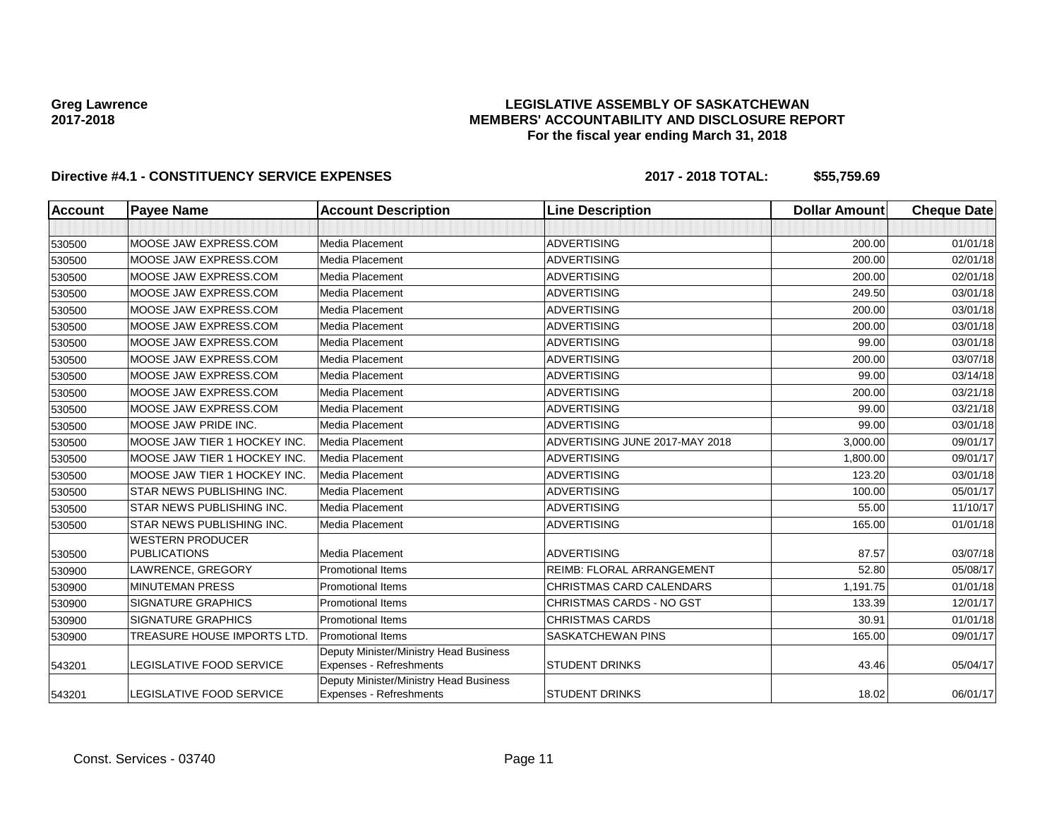### **LEGISLATIVE ASSEMBLY OF SASKATCHEWAN MEMBERS' ACCOUNTABILITY AND DISCLOSURE REPORT For the fiscal year ending March 31, 2018**

| <b>Account</b> | <b>Payee Name</b>                              | <b>Account Description</b>                                        | <b>Line Description</b>          | <b>Dollar Amount</b> | <b>Cheque Date</b> |
|----------------|------------------------------------------------|-------------------------------------------------------------------|----------------------------------|----------------------|--------------------|
|                |                                                |                                                                   |                                  |                      |                    |
| 530500         | MOOSE JAW EXPRESS.COM                          | Media Placement                                                   | <b>ADVERTISING</b>               | 200.00               | 01/01/18           |
| 530500         | MOOSE JAW EXPRESS.COM                          | Media Placement                                                   | <b>ADVERTISING</b>               | 200.00               | 02/01/18           |
| 530500         | MOOSE JAW EXPRESS.COM                          | Media Placement                                                   | <b>ADVERTISING</b>               | 200.00               | 02/01/18           |
| 530500         | MOOSE JAW EXPRESS.COM                          | Media Placement                                                   | <b>ADVERTISING</b>               | 249.50               | 03/01/18           |
| 530500         | MOOSE JAW EXPRESS.COM                          | Media Placement                                                   | <b>ADVERTISING</b>               | 200.00               | 03/01/18           |
| 530500         | MOOSE JAW EXPRESS.COM                          | Media Placement                                                   | <b>ADVERTISING</b>               | 200.00               | 03/01/18           |
| 530500         | MOOSE JAW EXPRESS.COM                          | Media Placement                                                   | <b>ADVERTISING</b>               | 99.00                | 03/01/18           |
| 530500         | MOOSE JAW EXPRESS.COM                          | Media Placement                                                   | <b>ADVERTISING</b>               | 200.00               | 03/07/18           |
| 530500         | MOOSE JAW EXPRESS.COM                          | Media Placement                                                   | <b>ADVERTISING</b>               | 99.00                | 03/14/18           |
| 530500         | MOOSE JAW EXPRESS.COM                          | Media Placement                                                   | <b>ADVERTISING</b>               | 200.00               | 03/21/18           |
| 530500         | MOOSE JAW EXPRESS.COM                          | Media Placement                                                   | <b>ADVERTISING</b>               | 99.00                | 03/21/18           |
| 530500         | MOOSE JAW PRIDE INC.                           | Media Placement                                                   | <b>ADVERTISING</b>               | 99.00                | 03/01/18           |
| 530500         | MOOSE JAW TIER 1 HOCKEY INC                    | Media Placement                                                   | ADVERTISING JUNE 2017-MAY 2018   | 3,000.00             | 09/01/17           |
| 530500         | MOOSE JAW TIER 1 HOCKEY INC.                   | Media Placement                                                   | <b>ADVERTISING</b>               | 1,800.00             | 09/01/17           |
| 530500         | MOOSE JAW TIER 1 HOCKEY INC                    | Media Placement                                                   | <b>ADVERTISING</b>               | 123.20               | 03/01/18           |
| 530500         | STAR NEWS PUBLISHING INC.                      | Media Placement                                                   | <b>ADVERTISING</b>               | 100.00               | 05/01/17           |
| 530500         | STAR NEWS PUBLISHING INC.                      | Media Placement                                                   | <b>ADVERTISING</b>               | 55.00                | 11/10/17           |
| 530500         | STAR NEWS PUBLISHING INC.                      | Media Placement                                                   | <b>ADVERTISING</b>               | 165.00               | 01/01/18           |
| 530500         | <b>WESTERN PRODUCER</b><br><b>PUBLICATIONS</b> | Media Placement                                                   | <b>ADVERTISING</b>               | 87.57                | 03/07/18           |
| 530900         | LAWRENCE, GREGORY                              | <b>Promotional Items</b>                                          | <b>REIMB: FLORAL ARRANGEMENT</b> | 52.80                | 05/08/17           |
| 530900         | <b>MINUTEMAN PRESS</b>                         | <b>Promotional Items</b>                                          | <b>CHRISTMAS CARD CALENDARS</b>  | 1.191.75             | 01/01/18           |
| 530900         | <b>SIGNATURE GRAPHICS</b>                      | <b>Promotional Items</b>                                          | CHRISTMAS CARDS - NO GST         | 133.39               | 12/01/17           |
| 530900         | <b>SIGNATURE GRAPHICS</b>                      | <b>Promotional Items</b>                                          | CHRISTMAS CARDS                  | 30.91                | 01/01/18           |
| 530900         | TREASURE HOUSE IMPORTS LTD.                    | <b>Promotional Items</b>                                          | SASKATCHEWAN PINS                | 165.00               | 09/01/17           |
| 543201         | LEGISLATIVE FOOD SERVICE                       | Deputy Minister/Ministry Head Business<br>Expenses - Refreshments | <b>STUDENT DRINKS</b>            | 43.46                | 05/04/17           |
| 543201         | <b>LEGISLATIVE FOOD SERVICE</b>                | Deputy Minister/Ministry Head Business<br>Expenses - Refreshments | <b>STUDENT DRINKS</b>            | 18.02                | 06/01/17           |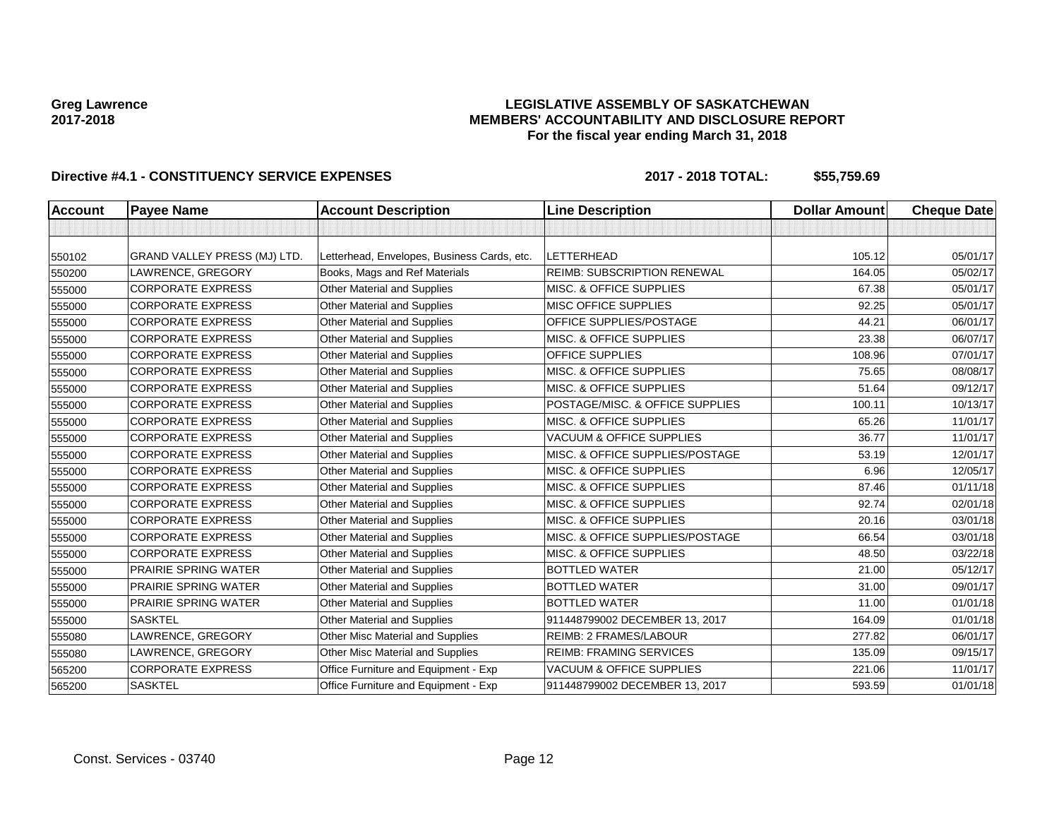### **LEGISLATIVE ASSEMBLY OF SASKATCHEWAN MEMBERS' ACCOUNTABILITY AND DISCLOSURE REPORT For the fiscal year ending March 31, 2018**

| <b>Account</b> | <b>Payee Name</b>            | <b>Account Description</b>                  | <b>Line Description</b>             | <b>Dollar Amount</b> | <b>Cheque Date</b> |
|----------------|------------------------------|---------------------------------------------|-------------------------------------|----------------------|--------------------|
|                |                              |                                             |                                     |                      |                    |
| 550102         | GRAND VALLEY PRESS (MJ) LTD. | Letterhead, Envelopes, Business Cards, etc. | <b>LETTERHEAD</b>                   | 105.12               | 05/01/17           |
| 550200         | LAWRENCE, GREGORY            | Books, Mags and Ref Materials               | <b>REIMB: SUBSCRIPTION RENEWAL</b>  | 164.05               | 05/02/17           |
| 555000         | <b>CORPORATE EXPRESS</b>     | <b>Other Material and Supplies</b>          | MISC. & OFFICE SUPPLIES             | 67.38                | 05/01/17           |
| 555000         | <b>CORPORATE EXPRESS</b>     | Other Material and Supplies                 | MISC OFFICE SUPPLIES                | 92.25                | 05/01/17           |
| 555000         | <b>CORPORATE EXPRESS</b>     | Other Material and Supplies                 | OFFICE SUPPLIES/POSTAGE             | 44.21                | 06/01/17           |
| 555000         | <b>CORPORATE EXPRESS</b>     | <b>Other Material and Supplies</b>          | MISC. & OFFICE SUPPLIES             | 23.38                | 06/07/17           |
| 555000         | <b>CORPORATE EXPRESS</b>     | <b>Other Material and Supplies</b>          | OFFICE SUPPLIES                     | 108.96               | 07/01/17           |
| 555000         | <b>CORPORATE EXPRESS</b>     | <b>Other Material and Supplies</b>          | MISC. & OFFICE SUPPLIES             | 75.65                | 08/08/17           |
| 555000         | <b>CORPORATE EXPRESS</b>     | Other Material and Supplies                 | MISC. & OFFICE SUPPLIES             | 51.64                | 09/12/17           |
| 555000         | <b>CORPORATE EXPRESS</b>     | <b>Other Material and Supplies</b>          | POSTAGE/MISC. & OFFICE SUPPLIES     | 100.11               | 10/13/17           |
| 555000         | <b>CORPORATE EXPRESS</b>     | Other Material and Supplies                 | MISC. & OFFICE SUPPLIES             | 65.26                | 11/01/17           |
| 555000         | <b>CORPORATE EXPRESS</b>     | Other Material and Supplies                 | <b>VACUUM &amp; OFFICE SUPPLIES</b> | 36.77                | 11/01/17           |
| 555000         | <b>CORPORATE EXPRESS</b>     | Other Material and Supplies                 | MISC. & OFFICE SUPPLIES/POSTAGE     | 53.19                | 12/01/17           |
| 555000         | <b>CORPORATE EXPRESS</b>     | Other Material and Supplies                 | MISC. & OFFICE SUPPLIES             | 6.96                 | 12/05/17           |
| 555000         | <b>CORPORATE EXPRESS</b>     | Other Material and Supplies                 | MISC. & OFFICE SUPPLIES             | 87.46                | 01/11/18           |
| 555000         | <b>CORPORATE EXPRESS</b>     | Other Material and Supplies                 | MISC. & OFFICE SUPPLIES             | 92.74                | 02/01/18           |
| 555000         | <b>CORPORATE EXPRESS</b>     | Other Material and Supplies                 | MISC. & OFFICE SUPPLIES             | 20.16                | 03/01/18           |
| 555000         | <b>CORPORATE EXPRESS</b>     | Other Material and Supplies                 | MISC. & OFFICE SUPPLIES/POSTAGE     | 66.54                | 03/01/18           |
| 555000         | <b>CORPORATE EXPRESS</b>     | Other Material and Supplies                 | MISC. & OFFICE SUPPLIES             | 48.50                | 03/22/18           |
| 555000         | PRAIRIE SPRING WATER         | <b>Other Material and Supplies</b>          | <b>BOTTLED WATER</b>                | 21.00                | 05/12/17           |
| 555000         | PRAIRIE SPRING WATER         | Other Material and Supplies                 | <b>BOTTLED WATER</b>                | 31.00                | 09/01/17           |
| 555000         | <b>PRAIRIE SPRING WATER</b>  | Other Material and Supplies                 | <b>BOTTLED WATER</b>                | 11.00                | 01/01/18           |
| 555000         | <b>SASKTEL</b>               | Other Material and Supplies                 | 911448799002 DECEMBER 13, 2017      | 164.09               | 01/01/18           |
| 555080         | LAWRENCE, GREGORY            | Other Misc Material and Supplies            | REIMB: 2 FRAMES/LABOUR              | 277.82               | 06/01/17           |
| 555080         | LAWRENCE, GREGORY            | Other Misc Material and Supplies            | <b>REIMB: FRAMING SERVICES</b>      | 135.09               | 09/15/17           |
| 565200         | <b>CORPORATE EXPRESS</b>     | Office Furniture and Equipment - Exp        | <b>VACUUM &amp; OFFICE SUPPLIES</b> | 221.06               | 11/01/17           |
| 565200         | <b>SASKTEL</b>               | Office Furniture and Equipment - Exp        | 911448799002 DECEMBER 13, 2017      | 593.59               | 01/01/18           |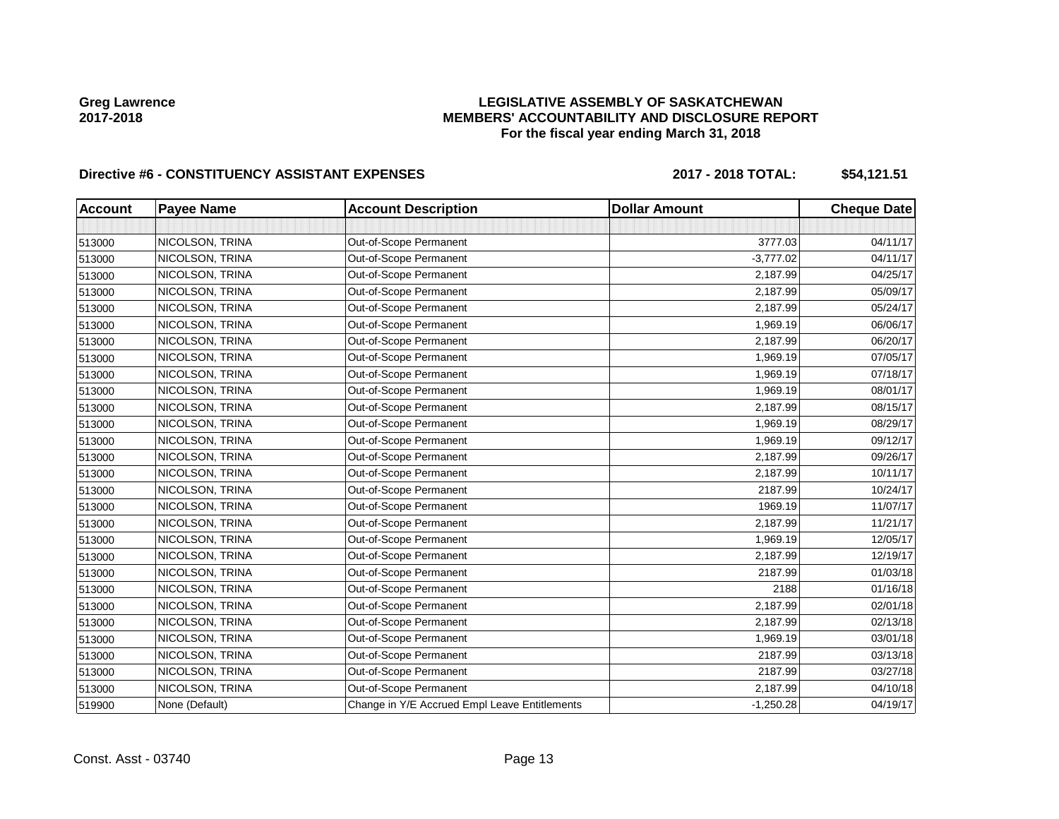### **LEGISLATIVE ASSEMBLY OF SASKATCHEWAN MEMBERS' ACCOUNTABILITY AND DISCLOSURE REPORT For the fiscal year ending March 31, 2018**

# Directive #6 - CONSTITUENCY ASSISTANT EXPENSES 2017 - 2018 TOTAL: \$54,121.51

| <b>Account</b> | <b>Payee Name</b> | <b>Account Description</b>                    | <b>Dollar Amount</b> | <b>Cheque Date</b> |
|----------------|-------------------|-----------------------------------------------|----------------------|--------------------|
|                |                   |                                               |                      |                    |
| 513000         | NICOLSON, TRINA   | Out-of-Scope Permanent                        | 3777.03              | 04/11/17           |
| 513000         | NICOLSON, TRINA   | Out-of-Scope Permanent                        | $-3,777.02$          | 04/11/17           |
| 513000         | NICOLSON, TRINA   | Out-of-Scope Permanent                        | 2,187.99             | 04/25/17           |
| 513000         | NICOLSON, TRINA   | Out-of-Scope Permanent                        | 2,187.99             | 05/09/17           |
| 513000         | NICOLSON, TRINA   | Out-of-Scope Permanent                        | 2,187.99             | 05/24/17           |
| 513000         | NICOLSON, TRINA   | Out-of-Scope Permanent                        | 1,969.19             | 06/06/17           |
| 513000         | NICOLSON, TRINA   | Out-of-Scope Permanent                        | 2,187.99             | 06/20/17           |
| 513000         | NICOLSON, TRINA   | Out-of-Scope Permanent                        | 1,969.19             | 07/05/17           |
| 513000         | NICOLSON, TRINA   | Out-of-Scope Permanent                        | 1,969.19             | 07/18/17           |
| 513000         | NICOLSON, TRINA   | Out-of-Scope Permanent                        | 1,969.19             | 08/01/17           |
| 513000         | NICOLSON, TRINA   | Out-of-Scope Permanent                        | 2,187.99             | 08/15/17           |
| 513000         | NICOLSON, TRINA   | Out-of-Scope Permanent                        | 1,969.19             | 08/29/17           |
| 513000         | NICOLSON, TRINA   | Out-of-Scope Permanent                        | 1,969.19             | 09/12/17           |
| 513000         | NICOLSON, TRINA   | Out-of-Scope Permanent                        | 2,187.99             | 09/26/17           |
| 513000         | NICOLSON, TRINA   | Out-of-Scope Permanent                        | 2,187.99             | 10/11/17           |
| 513000         | NICOLSON, TRINA   | Out-of-Scope Permanent                        | 2187.99              | 10/24/17           |
| 513000         | NICOLSON, TRINA   | Out-of-Scope Permanent                        | 1969.19              | 11/07/17           |
| 513000         | NICOLSON, TRINA   | Out-of-Scope Permanent                        | 2,187.99             | 11/21/17           |
| 513000         | NICOLSON, TRINA   | Out-of-Scope Permanent                        | 1,969.19             | 12/05/17           |
| 513000         | NICOLSON, TRINA   | Out-of-Scope Permanent                        | 2,187.99             | 12/19/17           |
| 513000         | NICOLSON, TRINA   | Out-of-Scope Permanent                        | 2187.99              | 01/03/18           |
| 513000         | NICOLSON, TRINA   | Out-of-Scope Permanent                        | 2188                 | 01/16/18           |
| 513000         | NICOLSON, TRINA   | Out-of-Scope Permanent                        | 2,187.99             | 02/01/18           |
| 513000         | NICOLSON, TRINA   | Out-of-Scope Permanent                        | 2,187.99             | 02/13/18           |
| 513000         | NICOLSON, TRINA   | Out-of-Scope Permanent                        | 1,969.19             | 03/01/18           |
| 513000         | NICOLSON, TRINA   | Out-of-Scope Permanent                        | 2187.99              | 03/13/18           |
| 513000         | NICOLSON, TRINA   | Out-of-Scope Permanent                        | 2187.99              | 03/27/18           |
| 513000         | NICOLSON, TRINA   | Out-of-Scope Permanent                        | 2,187.99             | 04/10/18           |
| 519900         | None (Default)    | Change in Y/E Accrued Empl Leave Entitlements | $-1,250.28$          | 04/19/17           |